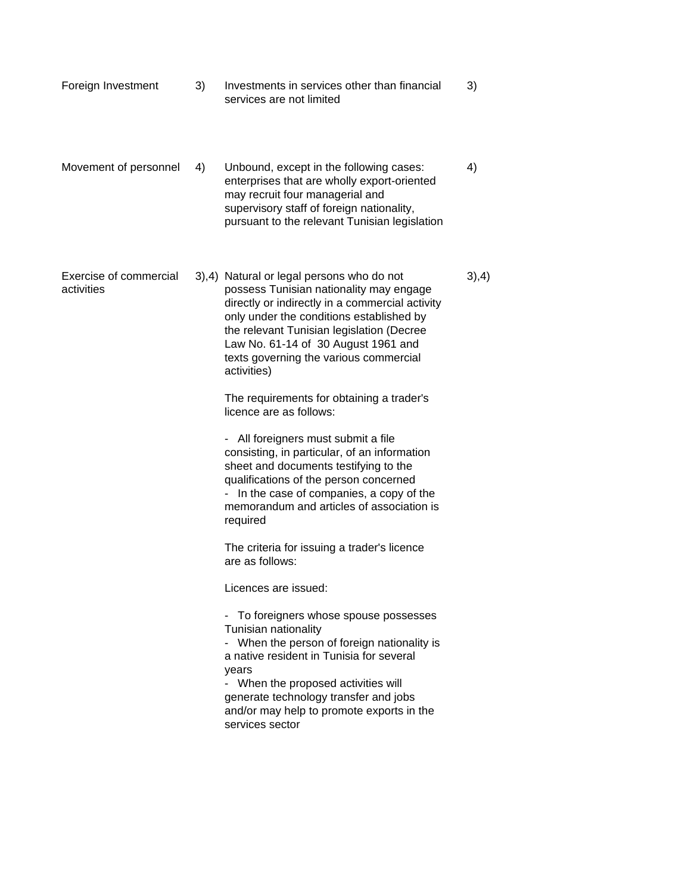| Foreign Investment | Investments in services other than financial |  |
|--------------------|----------------------------------------------|--|
|                    | services are not limited                     |  |

Movement of personnel 4) Unbound, except in the following cases: 4) enterprises that are wholly export-oriented may recruit four managerial and supervisory staff of foreign nationality, pursuant to the relevant Tunisian legislation

Exercise of commercial 3),4) Natural or legal persons who do not 3),4) activities possess Tunisian nationality may engage directly or indirectly in a commercial activity only under the conditions established by the relevant Tunisian legislation (Decree Law No. 61-14 of 30 August 1961 and texts governing the various commercial activities)

> The requirements for obtaining a trader's licence are as follows:

- All foreigners must submit a file consisting, in particular, of an information sheet and documents testifying to the qualifications of the person concerned - In the case of companies, a copy of the memorandum and articles of association is required

The criteria for issuing a trader's licence are as follows:

Licences are issued:

- To foreigners whose spouse possesses Tunisian nationality - When the person of foreign nationality is a native resident in Tunisia for several years - When the proposed activities will

generate technology transfer and jobs and/or may help to promote exports in the services sector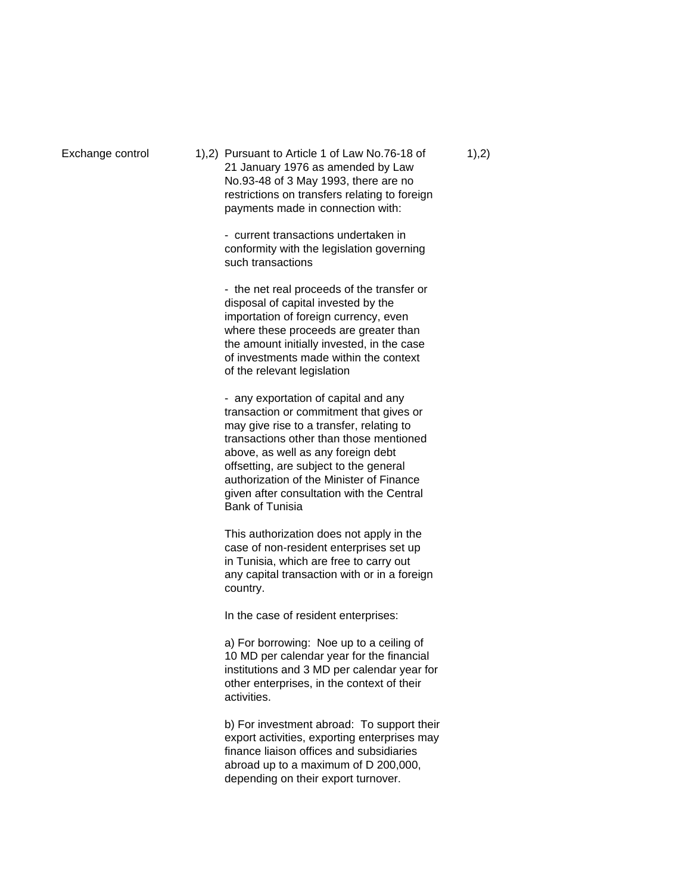Exchange control  $1)$ , 2) Pursuant to Article 1 of Law No.76-18 of  $1)$ , 2) 21 January 1976 as amended by Law No.93-48 of 3 May 1993, there are no restrictions on transfers relating to foreign payments made in connection with:

> - current transactions undertaken in conformity with the legislation governing such transactions

- the net real proceeds of the transfer or disposal of capital invested by the importation of foreign currency, even where these proceeds are greater than the amount initially invested, in the case of investments made within the context of the relevant legislation

- any exportation of capital and any transaction or commitment that gives or may give rise to a transfer, relating to transactions other than those mentioned above, as well as any foreign debt offsetting, are subject to the general authorization of the Minister of Finance given after consultation with the Central Bank of Tunisia

This authorization does not apply in the case of non-resident enterprises set up in Tunisia, which are free to carry out any capital transaction with or in a foreign country.

In the case of resident enterprises:

a) For borrowing: Noe up to a ceiling of 10 MD per calendar year for the financial institutions and 3 MD per calendar year for other enterprises, in the context of their activities.

b) For investment abroad: To support their export activities, exporting enterprises may finance liaison offices and subsidiaries abroad up to a maximum of D 200,000, depending on their export turnover.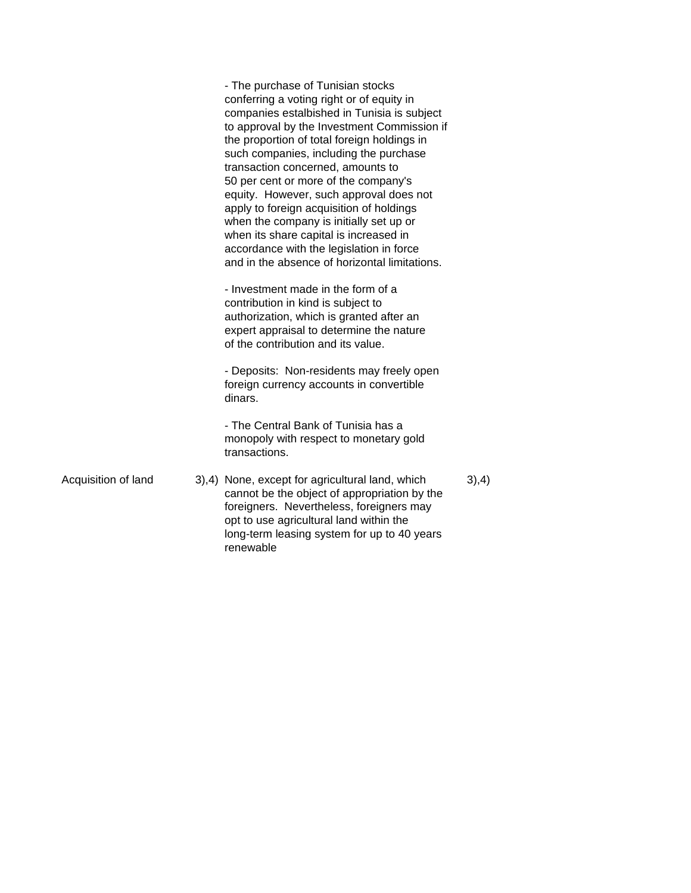|                     | - The purchase of Tunisian stocks<br>conferring a voting right or of equity in<br>companies estalbished in Tunisia is subject<br>to approval by the Investment Commission if<br>the proportion of total foreign holdings in<br>such companies, including the purchase<br>transaction concerned, amounts to<br>50 per cent or more of the company's<br>equity. However, such approval does not<br>apply to foreign acquisition of holdings<br>when the company is initially set up or<br>when its share capital is increased in<br>accordance with the legislation in force<br>and in the absence of horizontal limitations.<br>- Investment made in the form of a<br>contribution in kind is subject to<br>authorization, which is granted after an<br>expert appraisal to determine the nature<br>of the contribution and its value.<br>- Deposits: Non-residents may freely open<br>foreign currency accounts in convertible<br>dinars.<br>- The Central Bank of Tunisia has a<br>monopoly with respect to monetary gold<br>transactions. |       |
|---------------------|---------------------------------------------------------------------------------------------------------------------------------------------------------------------------------------------------------------------------------------------------------------------------------------------------------------------------------------------------------------------------------------------------------------------------------------------------------------------------------------------------------------------------------------------------------------------------------------------------------------------------------------------------------------------------------------------------------------------------------------------------------------------------------------------------------------------------------------------------------------------------------------------------------------------------------------------------------------------------------------------------------------------------------------------|-------|
| Acquisition of land | 3),4) None, except for agricultural land, which<br>cannot be the object of appropriation by the<br>foreigners. Nevertheless, foreigners may<br>opt to use agricultural land within the<br>long-term leasing system for up to 40 years<br>renewable                                                                                                                                                                                                                                                                                                                                                                                                                                                                                                                                                                                                                                                                                                                                                                                          | 3),4) |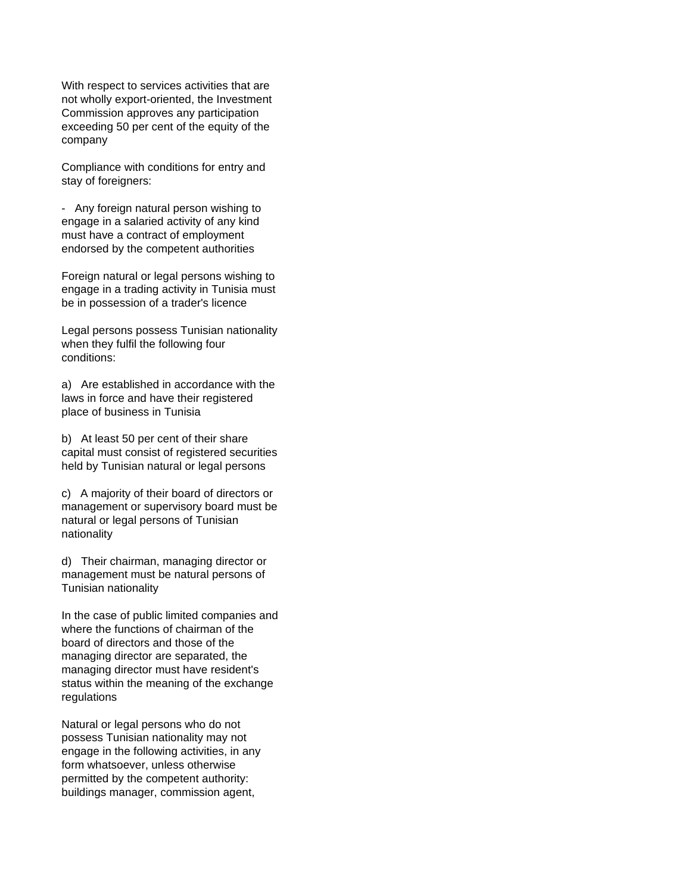With respect to services activities that are not wholly export-oriented, the Investment Commission approves any participation exceeding 50 per cent of the equity of the company

Compliance with conditions for entry and stay of foreigners:

- Any foreign natural person wishing to engage in a salaried activity of any kind must have a contract of employment endorsed by the competent authorities

Foreign natural or legal persons wishing to engage in a trading activity in Tunisia must be in possession of a trader's licence

Legal persons possess Tunisian nationality when they fulfil the following four conditions:

a) Are established in accordance with the laws in force and have their registered place of business in Tunisia

b) At least 50 per cent of their share capital must consist of registered securities held by Tunisian natural or legal persons

c) A majority of their board of directors or management or supervisory board must be natural or legal persons of Tunisian nationality

d) Their chairman, managing director or management must be natural persons of Tunisian nationality

In the case of public limited companies and where the functions of chairman of the board of directors and those of the managing director are separated, the managing director must have resident's status within the meaning of the exchange regulations

Natural or legal persons who do not possess Tunisian nationality may not engage in the following activities, in any form whatsoever, unless otherwise permitted by the competent authority: buildings manager, commission agent,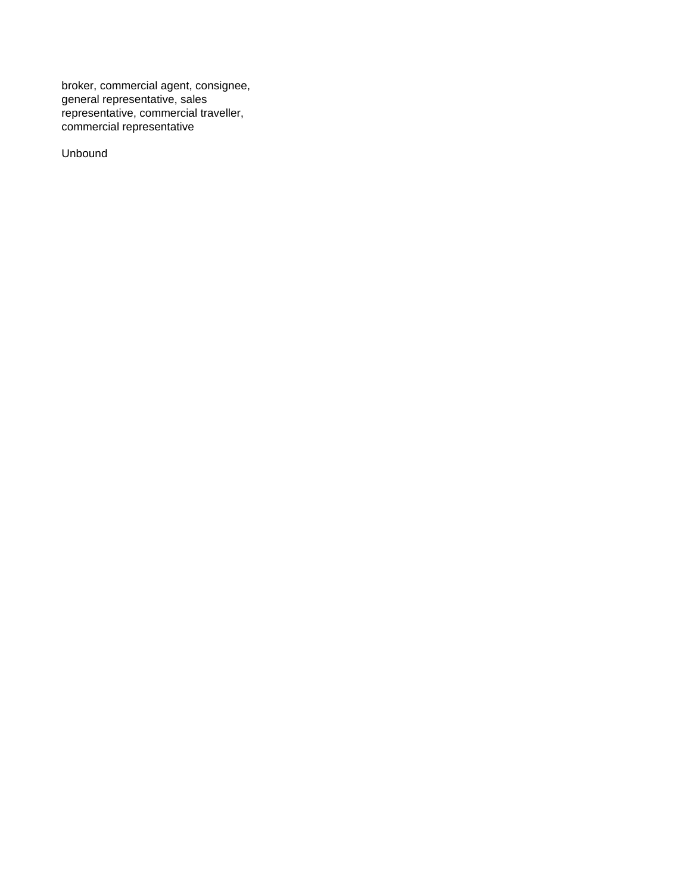broker, commercial agent, consignee, general representative, sales representative, commercial traveller, commercial representative

Unbound